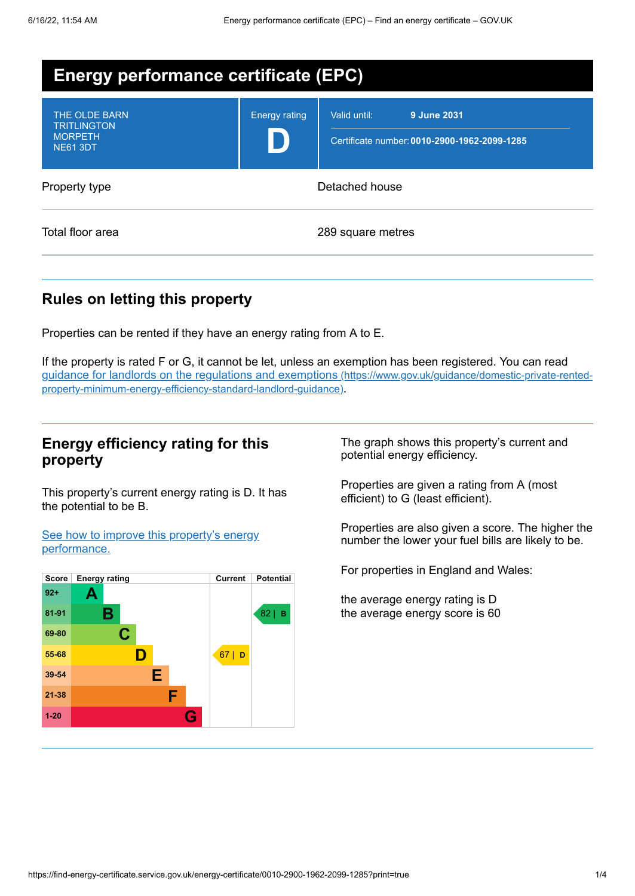| <b>Energy performance certificate (EPC)</b>                              |                      |                                                                             |
|--------------------------------------------------------------------------|----------------------|-----------------------------------------------------------------------------|
| THE OLDE BARN<br><b>TRITLINGTON</b><br><b>MORPETH</b><br><b>NE61 3DT</b> | <b>Energy rating</b> | 9 June 2031<br>Valid until:<br>Certificate number: 0010-2900-1962-2099-1285 |
| Property type                                                            |                      | Detached house                                                              |
| Total floor area                                                         |                      | 289 square metres                                                           |

# **Rules on letting this property**

Properties can be rented if they have an energy rating from A to E.

If the property is rated F or G, it cannot be let, unless an exemption has been registered. You can read guidance for landlords on the regulations and exemptions (https://www.gov.uk/guidance/domestic-private-rented[property-minimum-energy-efficiency-standard-landlord-guidance\)](https://www.gov.uk/guidance/domestic-private-rented-property-minimum-energy-efficiency-standard-landlord-guidance).

## **Energy efficiency rating for this property**

This property's current energy rating is D. It has the potential to be B.

See how to improve this property's energy [performance.](#page-2-0)



The graph shows this property's current and potential energy efficiency.

Properties are given a rating from A (most efficient) to G (least efficient).

Properties are also given a score. The higher the number the lower your fuel bills are likely to be.

For properties in England and Wales:

the average energy rating is D the average energy score is 60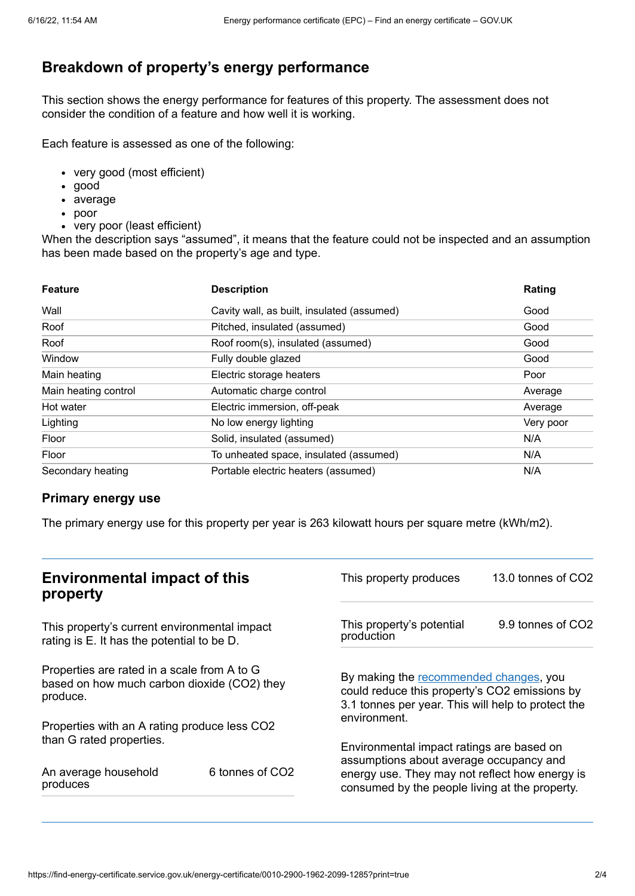# **Breakdown of property's energy performance**

This section shows the energy performance for features of this property. The assessment does not consider the condition of a feature and how well it is working.

Each feature is assessed as one of the following:

- very good (most efficient)
- good
- average
- poor
- very poor (least efficient)

When the description says "assumed", it means that the feature could not be inspected and an assumption has been made based on the property's age and type.

| <b>Feature</b>       | <b>Description</b>                         | Rating    |
|----------------------|--------------------------------------------|-----------|
| Wall                 | Cavity wall, as built, insulated (assumed) | Good      |
| Roof                 | Pitched, insulated (assumed)               | Good      |
| Roof                 | Roof room(s), insulated (assumed)          | Good      |
| Window               | Fully double glazed                        | Good      |
| Main heating         | Electric storage heaters                   | Poor      |
| Main heating control | Automatic charge control                   | Average   |
| Hot water            | Electric immersion, off-peak               | Average   |
| Lighting             | No low energy lighting                     | Very poor |
| Floor                | Solid, insulated (assumed)                 | N/A       |
| Floor                | To unheated space, insulated (assumed)     | N/A       |
| Secondary heating    | Portable electric heaters (assumed)        | N/A       |

#### **Primary energy use**

The primary energy use for this property per year is 263 kilowatt hours per square metre (kWh/m2).

| <b>Environmental impact of this</b><br>property                                                        |                 | This property produces                                                                                                                                        | 13.0 tonnes of CO2 |
|--------------------------------------------------------------------------------------------------------|-----------------|---------------------------------------------------------------------------------------------------------------------------------------------------------------|--------------------|
| This property's current environmental impact<br>rating is E. It has the potential to be D.             |                 | This property's potential<br>production                                                                                                                       | 9.9 tonnes of CO2  |
| Properties are rated in a scale from A to G<br>based on how much carbon dioxide (CO2) they<br>produce. |                 | By making the recommended changes, you<br>could reduce this property's CO2 emissions by<br>3.1 tonnes per year. This will help to protect the<br>environment. |                    |
| Properties with an A rating produce less CO2                                                           |                 |                                                                                                                                                               |                    |
| than G rated properties.                                                                               |                 | Environmental impact ratings are based on<br>assumptions about average occupancy and                                                                          |                    |
| An average household<br>produces                                                                       | 6 tonnes of CO2 | energy use. They may not reflect how energy is<br>consumed by the people living at the property.                                                              |                    |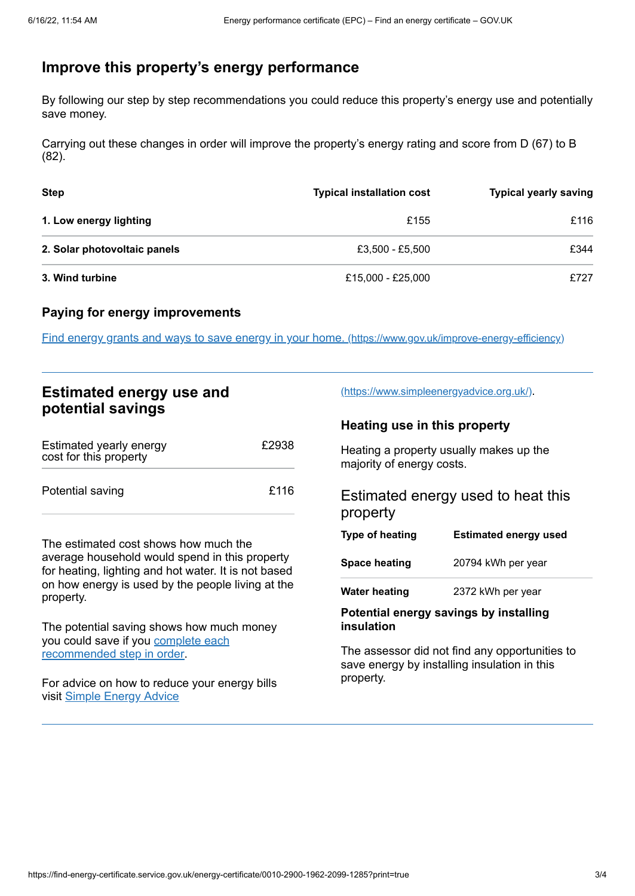## <span id="page-2-0"></span>**Improve this property's energy performance**

By following our step by step recommendations you could reduce this property's energy use and potentially save money.

Carrying out these changes in order will improve the property's energy rating and score from D (67) to B (82).

| <b>Step</b>                  | <b>Typical installation cost</b> | <b>Typical yearly saving</b> |
|------------------------------|----------------------------------|------------------------------|
| 1. Low energy lighting       | £155                             | £116                         |
| 2. Solar photovoltaic panels | £3,500 - £5,500                  | £344                         |
| 3. Wind turbine              | £15,000 - £25,000                | £727                         |

#### **Paying for energy improvements**

Find energy grants and ways to save energy in your home. [\(https://www.gov.uk/improve-energy-efficiency\)](https://www.gov.uk/improve-energy-efficiency)

## **Estimated energy use and potential savings**

| Estimated yearly energy<br>cost for this property | £2938 |
|---------------------------------------------------|-------|
| Potential saving                                  | £116  |

The estimated cost shows how much the average household would spend in this property for heating, lighting and hot water. It is not based on how energy is used by the people living at the property.

The potential saving shows how much money you could save if you complete each [recommended](#page-2-0) step in order.

For advice on how to reduce your energy bills visit Simple [Energy](https://www.simpleenergyadvice.org.uk/) Advice

[\(https://www.simpleenergyadvice.org.uk/\)](https://www.simpleenergyadvice.org.uk/).

#### **Heating use in this property**

Heating a property usually makes up the majority of energy costs.

## Estimated energy used to heat this property

| Type of heating      | <b>Estimated energy used</b> |
|----------------------|------------------------------|
| <b>Space heating</b> | 20794 kWh per year           |
| <b>Water heating</b> | 2372 kWh per year            |

#### **Potential energy savings by installing insulation**

The assessor did not find any opportunities to save energy by installing insulation in this property.